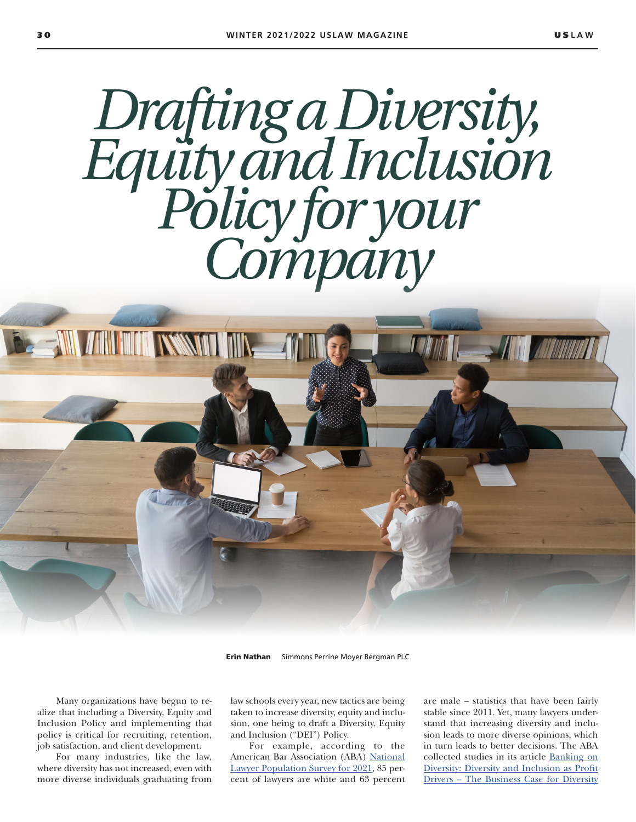# *Drafting a Diversity, Equity and Inclusion Policy for your Company*

**BE ANN ANN MINT INSSNITT THE** 

Erin Nathan Simmons Perrine Moyer Bergman PLC

Many organizations have begun to realize that including a Diversity, Equity and Inclusion Policy and implementing that policy is critical for recruiting, retention, job satisfaction, and client development.

For many industries, like the law, where diversity has not increased, even with more diverse individuals graduating from law schools every year, new tactics are being taken to increase diversity, equity and inclusion, one being to draft a Diversity, Equity and Inclusion ("DEI") Policy.

For example, according to the American Bar Association (ABA) National Lawyer Population Survey for 2021, 85 percent of lawyers are white and 63 percent are male – statistics that have been fairly stable since 2011. Yet, many lawyers understand that increasing diversity and inclusion leads to more diverse opinions, which in turn leads to better decisions. The ABA collected studies in its article Banking on Diversity: Diversity and Inclusion as Profit Drivers – The Business Case for Diversity